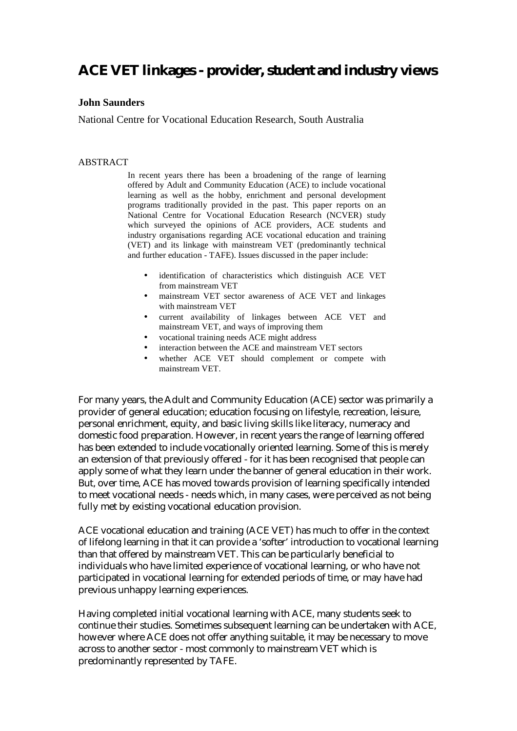# **ACE VET linkages - provider, student and industry views**

#### **John Saunders**

National Centre for Vocational Education Research, South Australia

#### ABSTRACT

In recent years there has been a broadening of the range of learning offered by Adult and Community Education (ACE) to include vocational learning as well as the hobby, enrichment and personal development programs traditionally provided in the past. This paper reports on an National Centre for Vocational Education Research (NCVER) study which surveyed the opinions of ACE providers, ACE students and industry organisations regarding ACE vocational education and training (VET) and its linkage with mainstream VET (predominantly technical and further education - TAFE). Issues discussed in the paper include:

- identification of characteristics which distinguish ACE VET from mainstream VET
- mainstream VET sector awareness of ACE VET and linkages with mainstream VET
- current availability of linkages between ACE VET and mainstream VET, and ways of improving them
- vocational training needs ACE might address
- interaction between the ACE and mainstream VET sectors
- whether ACE VET should complement or compete with mainstream VET.

For many years, the Adult and Community Education (ACE) sector was primarily a provider of general education; education focusing on lifestyle, recreation, leisure, personal enrichment, equity, and basic living skills like literacy, numeracy and domestic food preparation. However, in recent years the range of learning offered has been extended to include vocationally oriented learning. Some of this is merely an extension of that previously offered - for it has been recognised that people can apply some of what they learn under the banner of general education in their work. But, over time, ACE has moved towards provision of learning specifically intended to meet vocational needs - needs which, in many cases, were perceived as not being fully met by existing vocational education provision.

ACE vocational education and training (ACE VET) has much to offer in the context of lifelong learning in that it can provide a 'softer' introduction to vocational learning than that offered by mainstream VET. This can be particularly beneficial to individuals who have limited experience of vocational learning, or who have not participated in vocational learning for extended periods of time, or may have had previous unhappy learning experiences.

Having completed initial vocational learning with ACE, many students seek to continue their studies. Sometimes subsequent learning can be undertaken with ACE, however where ACE does not offer anything suitable, it may be necessary to move across to another sector - most commonly to mainstream VET which is predominantly represented by TAFE.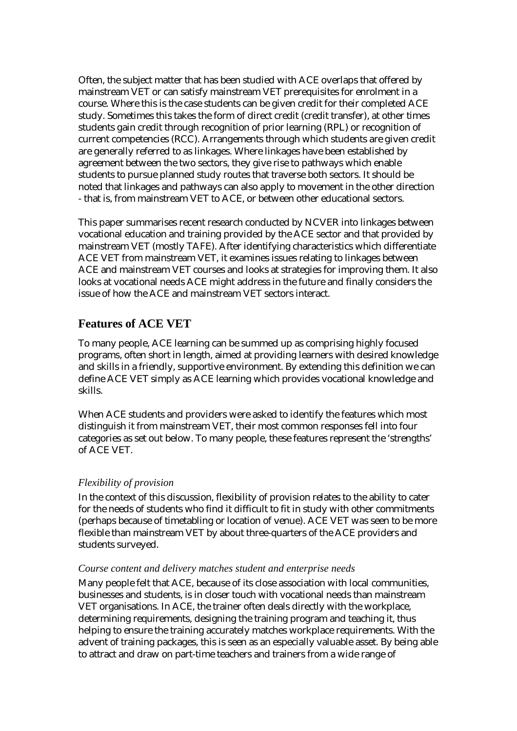Often, the subject matter that has been studied with ACE overlaps that offered by mainstream VET or can satisfy mainstream VET prerequisites for enrolment in a course. Where this is the case students can be given credit for their completed ACE study. Sometimes this takes the form of direct credit (credit transfer), at other times students gain credit through recognition of prior learning (RPL) or recognition of current competencies (RCC). Arrangements through which students are given credit are generally referred to as linkages. Where linkages have been established by agreement between the two sectors, they give rise to pathways which enable students to pursue planned study routes that traverse both sectors. It should be noted that linkages and pathways can also apply to movement in the other direction - that is, from mainstream VET to ACE, or between other educational sectors.

This paper summarises recent research conducted by NCVER into linkages between vocational education and training provided by the ACE sector and that provided by mainstream VET (mostly TAFE). After identifying characteristics which differentiate ACE VET from mainstream VET, it examines issues relating to linkages between ACE and mainstream VET courses and looks at strategies for improving them. It also looks at vocational needs ACE might address in the future and finally considers the issue of how the ACE and mainstream VET sectors interact.

# **Features of ACE VET**

To many people, ACE learning can be summed up as comprising highly focused programs, often short in length, aimed at providing learners with desired knowledge and skills in a friendly, supportive environment. By extending this definition we can define ACE VET simply as ACE learning which provides vocational knowledge and skills.

When ACE students and providers were asked to identify the features which most distinguish it from mainstream VET, their most common responses fell into four categories as set out below. To many people, these features represent the 'strengths' of ACE VET.

### *Flexibility of provision*

In the context of this discussion, flexibility of provision relates to the ability to cater for the needs of students who find it difficult to fit in study with other commitments (perhaps because of timetabling or location of venue). ACE VET was seen to be more flexible than mainstream VET by about three-quarters of the ACE providers and students surveyed.

#### *Course content and delivery matches student and enterprise needs*

Many people felt that ACE, because of its close association with local communities, businesses and students, is in closer touch with vocational needs than mainstream VET organisations. In ACE, the trainer often deals directly with the workplace, determining requirements, designing the training program and teaching it, thus helping to ensure the training accurately matches workplace requirements. With the advent of training packages, this is seen as an especially valuable asset. By being able to attract and draw on part-time teachers and trainers from a wide range of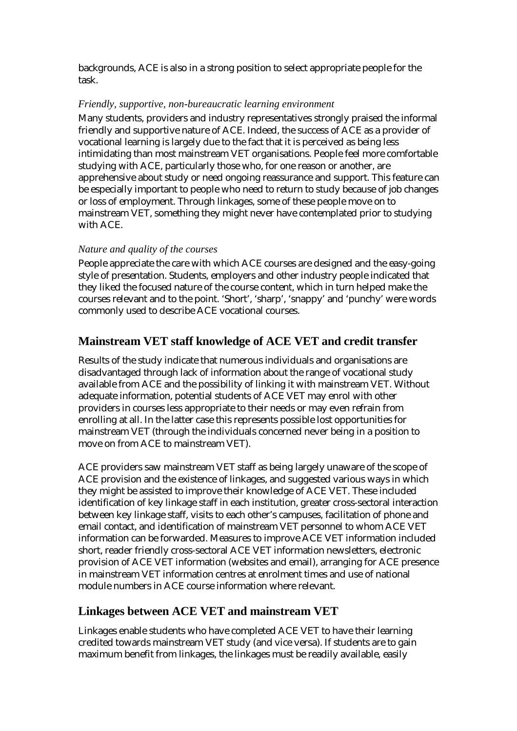backgrounds, ACE is also in a strong position to select appropriate people for the task.

# *Friendly, supportive, non-bureaucratic learning environment*

Many students, providers and industry representatives strongly praised the informal friendly and supportive nature of ACE. Indeed, the success of ACE as a provider of vocational learning is largely due to the fact that it is perceived as being less intimidating than most mainstream VET organisations. People feel more comfortable studying with ACE, particularly those who, for one reason or another, are apprehensive about study or need ongoing reassurance and support. This feature can be especially important to people who need to return to study because of job changes or loss of employment. Through linkages, some of these people move on to mainstream VET, something they might never have contemplated prior to studying with ACE.

# *Nature and quality of the courses*

People appreciate the care with which ACE courses are designed and the easy-going style of presentation. Students, employers and other industry people indicated that they liked the focused nature of the course content, which in turn helped make the courses relevant and to the point. 'Short', 'sharp', 'snappy' and 'punchy' were words commonly used to describe ACE vocational courses.

# **Mainstream VET staff knowledge of ACE VET and credit transfer**

Results of the study indicate that numerous individuals and organisations are disadvantaged through lack of information about the range of vocational study available from ACE and the possibility of linking it with mainstream VET. Without adequate information, potential students of ACE VET may enrol with other providers in courses less appropriate to their needs or may even refrain from enrolling at all. In the latter case this represents possible lost opportunities for mainstream VET (through the individuals concerned never being in a position to move on from ACE to mainstream VET).

ACE providers saw mainstream VET staff as being largely unaware of the scope of ACE provision and the existence of linkages, and suggested various ways in which they might be assisted to improve their knowledge of ACE VET. These included identification of key linkage staff in each institution, greater cross-sectoral interaction between key linkage staff, visits to each other's campuses, facilitation of phone and email contact, and identification of mainstream VET personnel to whom ACE VET information can be forwarded. Measures to improve ACE VET information included short, reader friendly cross-sectoral ACE VET information newsletters, electronic provision of ACE VET information (websites and email), arranging for ACE presence in mainstream VET information centres at enrolment times and use of national module numbers in ACE course information where relevant.

# **Linkages between ACE VET and mainstream VET**

Linkages enable students who have completed ACE VET to have their learning credited towards mainstream VET study (and vice versa). If students are to gain maximum benefit from linkages, the linkages must be readily available, easily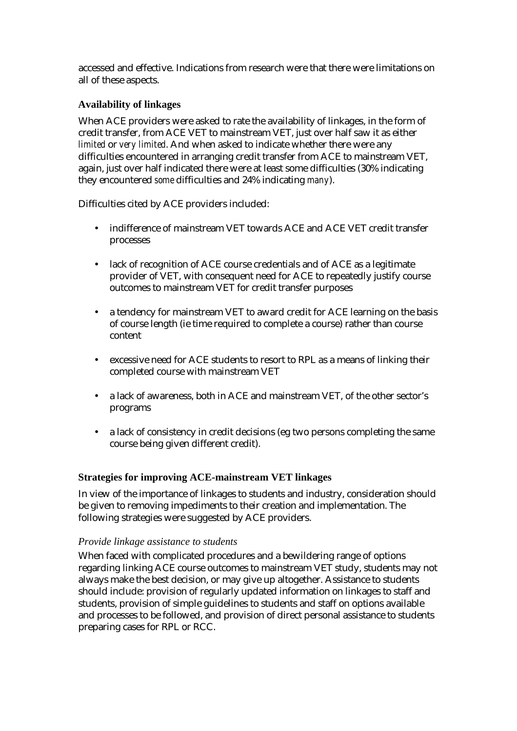accessed and effective. Indications from research were that there were limitations on all of these aspects.

# **Availability of linkages**

When ACE providers were asked to rate the availability of linkages, in the form of credit transfer, from ACE VET to mainstream VET, just over half saw it as either *limited* or *very limited*. And when asked to indicate whether there were any difficulties encountered in arranging credit transfer from ACE to mainstream VET, again, just over half indicated there were at least some difficulties (30% indicating they encountered *some* difficulties and 24% indicating *many*).

Difficulties cited by ACE providers included:

- indifference of mainstream VET towards ACE and ACE VET credit transfer processes
- lack of recognition of ACE course credentials and of ACE as a legitimate provider of VET, with consequent need for ACE to repeatedly justify course outcomes to mainstream VET for credit transfer purposes
- a tendency for mainstream VET to award credit for ACE learning on the basis of course length (ie time required to complete a course) rather than course content
- excessive need for ACE students to resort to RPL as a means of linking their completed course with mainstream VET
- a lack of awareness, both in ACE and mainstream VET, of the other sector's programs
- a lack of consistency in credit decisions (eg two persons completing the same course being given different credit).

# **Strategies for improving ACE-mainstream VET linkages**

In view of the importance of linkages to students and industry, consideration should be given to removing impediments to their creation and implementation. The following strategies were suggested by ACE providers.

### *Provide linkage assistance to students*

When faced with complicated procedures and a bewildering range of options regarding linking ACE course outcomes to mainstream VET study, students may not always make the best decision, or may give up altogether. Assistance to students should include: provision of regularly updated information on linkages to staff and students, provision of simple guidelines to students and staff on options available and processes to be followed, and provision of direct personal assistance to students preparing cases for RPL or RCC.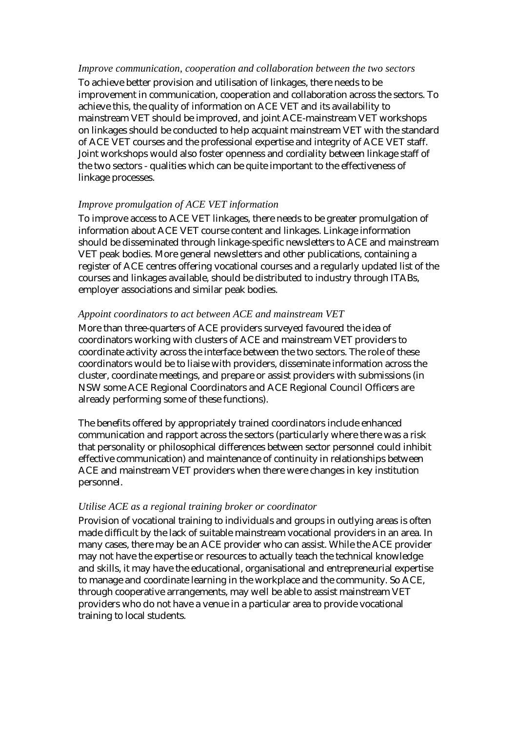#### *Improve communication, cooperation and collaboration between the two sectors*

To achieve better provision and utilisation of linkages, there needs to be improvement in communication, cooperation and collaboration across the sectors. To achieve this, the quality of information on ACE VET and its availability to mainstream VET should be improved, and joint ACE-mainstream VET workshops on linkages should be conducted to help acquaint mainstream VET with the standard of ACE VET courses and the professional expertise and integrity of ACE VET staff. Joint workshops would also foster openness and cordiality between linkage staff of the two sectors - qualities which can be quite important to the effectiveness of linkage processes.

#### *Improve promulgation of ACE VET information*

To improve access to ACE VET linkages, there needs to be greater promulgation of information about ACE VET course content and linkages. Linkage information should be disseminated through linkage-specific newsletters to ACE and mainstream VET peak bodies. More general newsletters and other publications, containing a register of ACE centres offering vocational courses and a regularly updated list of the courses and linkages available, should be distributed to industry through ITABs, employer associations and similar peak bodies.

#### *Appoint coordinators to act between ACE and mainstream VET*

More than three-quarters of ACE providers surveyed favoured the idea of coordinators working with clusters of ACE and mainstream VET providers to coordinate activity across the interface between the two sectors. The role of these coordinators would be to liaise with providers, disseminate information across the cluster, coordinate meetings, and prepare or assist providers with submissions (in NSW some ACE Regional Coordinators and ACE Regional Council Officers are already performing some of these functions).

The benefits offered by appropriately trained coordinators include enhanced communication and rapport across the sectors (particularly where there was a risk that personality or philosophical differences between sector personnel could inhibit effective communication) and maintenance of continuity in relationships between ACE and mainstream VET providers when there were changes in key institution personnel.

#### *Utilise ACE as a regional training broker or coordinator*

Provision of vocational training to individuals and groups in outlying areas is often made difficult by the lack of suitable mainstream vocational providers in an area. In many cases, there may be an ACE provider who can assist. While the ACE provider may not have the expertise or resources to actually teach the technical knowledge and skills, it may have the educational, organisational and entrepreneurial expertise to manage and coordinate learning in the workplace and the community. So ACE, through cooperative arrangements, may well be able to assist mainstream VET providers who do not have a venue in a particular area to provide vocational training to local students.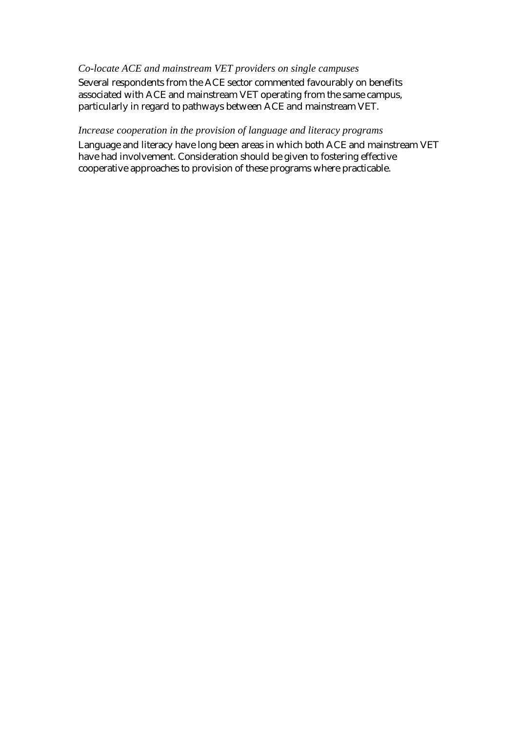### *Co-locate ACE and mainstream VET providers on single campuses*

Several respondents from the ACE sector commented favourably on benefits associated with ACE and mainstream VET operating from the same campus, particularly in regard to pathways between ACE and mainstream VET.

### *Increase cooperation in the provision of language and literacy programs*

Language and literacy have long been areas in which both ACE and mainstream VET have had involvement. Consideration should be given to fostering effective cooperative approaches to provision of these programs where practicable.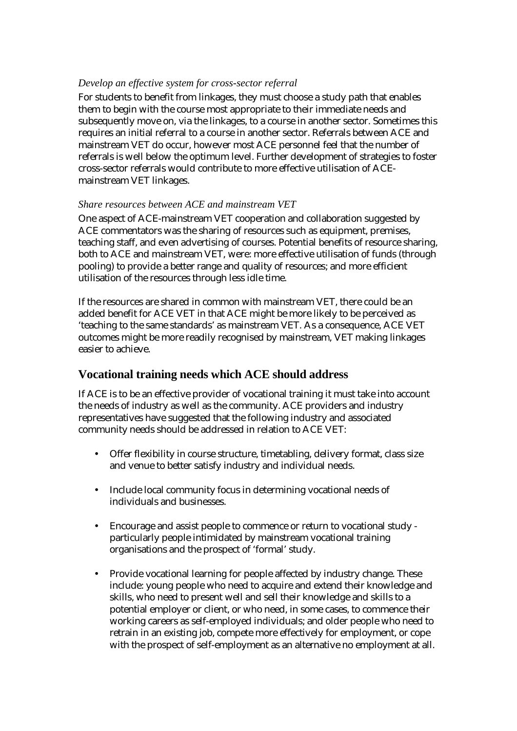# *Develop an effective system for cross-sector referral*

For students to benefit from linkages, they must choose a study path that enables them to begin with the course most appropriate to their immediate needs and subsequently move on, via the linkages, to a course in another sector. Sometimes this requires an initial referral to a course in another sector. Referrals between ACE and mainstream VET do occur, however most ACE personnel feel that the number of referrals is well below the optimum level. Further development of strategies to foster cross-sector referrals would contribute to more effective utilisation of ACEmainstream VET linkages.

### *Share resources between ACE and mainstream VET*

One aspect of ACE-mainstream VET cooperation and collaboration suggested by ACE commentators was the sharing of resources such as equipment, premises, teaching staff, and even advertising of courses. Potential benefits of resource sharing, both to ACE and mainstream VET, were: more effective utilisation of funds (through pooling) to provide a better range and quality of resources; and more efficient utilisation of the resources through less idle time.

If the resources are shared in common with mainstream VET, there could be an added benefit for ACE VET in that ACE might be more likely to be perceived as 'teaching to the same standards' as mainstream VET. As a consequence, ACE VET outcomes might be more readily recognised by mainstream, VET making linkages easier to achieve.

# **Vocational training needs which ACE should address**

If ACE is to be an effective provider of vocational training it must take into account the needs of industry as well as the community. ACE providers and industry representatives have suggested that the following industry and associated community needs should be addressed in relation to ACE VET:

- Offer flexibility in course structure, timetabling, delivery format, class size and venue to better satisfy industry and individual needs.
- Include local community focus in determining vocational needs of individuals and businesses.
- Encourage and assist people to commence or return to vocational study particularly people intimidated by mainstream vocational training organisations and the prospect of 'formal' study.
- Provide vocational learning for people affected by industry change. These include: young people who need to acquire and extend their knowledge and skills, who need to present well and sell their knowledge and skills to a potential employer or client, or who need, in some cases, to commence their working careers as self-employed individuals; and older people who need to retrain in an existing job, compete more effectively for employment, or cope with the prospect of self-employment as an alternative no employment at all.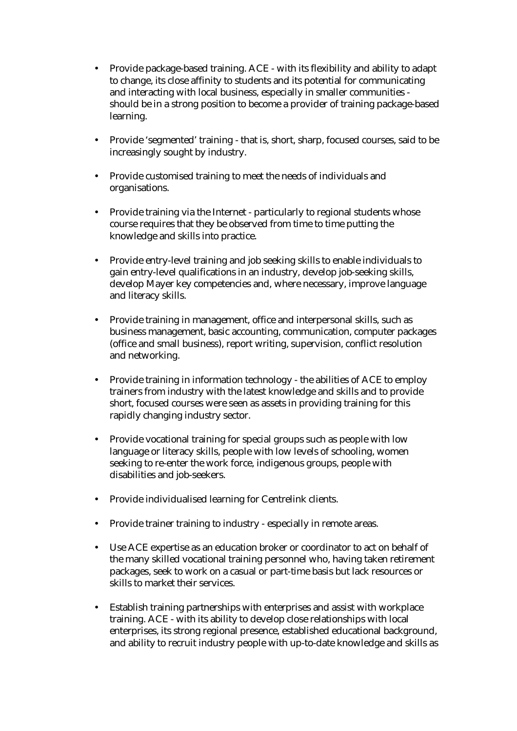- Provide package-based training. ACE with its flexibility and ability to adapt to change, its close affinity to students and its potential for communicating and interacting with local business, especially in smaller communities should be in a strong position to become a provider of training package-based learning.
- Provide 'segmented' training that is, short, sharp, focused courses, said to be increasingly sought by industry.
- Provide customised training to meet the needs of individuals and organisations.
- Provide training via the Internet particularly to regional students whose course requires that they be observed from time to time putting the knowledge and skills into practice.
- Provide entry-level training and job seeking skills to enable individuals to gain entry-level qualifications in an industry, develop job-seeking skills, develop Mayer key competencies and, where necessary, improve language and literacy skills.
- Provide training in management, office and interpersonal skills, such as business management, basic accounting, communication, computer packages (office and small business), report writing, supervision, conflict resolution and networking.
- Provide training in information technology the abilities of ACE to employ trainers from industry with the latest knowledge and skills and to provide short, focused courses were seen as assets in providing training for this rapidly changing industry sector.
- Provide vocational training for special groups such as people with low language or literacy skills, people with low levels of schooling, women seeking to re-enter the work force, indigenous groups, people with disabilities and job-seekers.
- Provide individualised learning for Centrelink clients.
- Provide trainer training to industry especially in remote areas.
- Use ACE expertise as an education broker or coordinator to act on behalf of the many skilled vocational training personnel who, having taken retirement packages, seek to work on a casual or part-time basis but lack resources or skills to market their services.
- Establish training partnerships with enterprises and assist with workplace training. ACE - with its ability to develop close relationships with local enterprises, its strong regional presence, established educational background, and ability to recruit industry people with up-to-date knowledge and skills as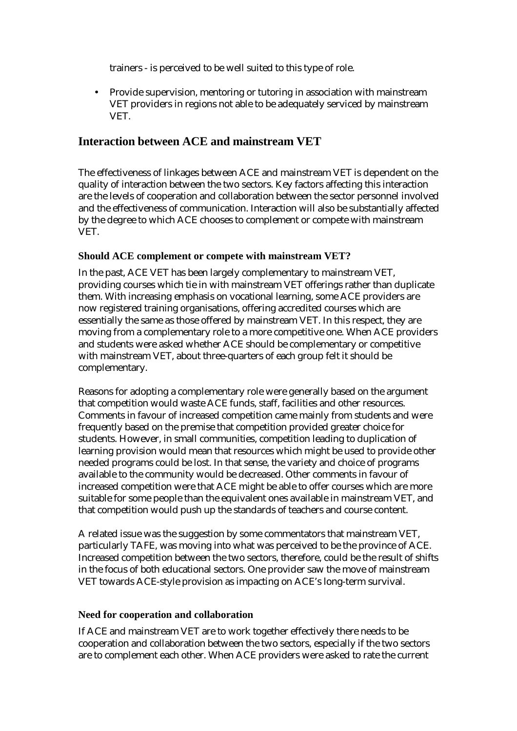trainers - is perceived to be well suited to this type of role.

• Provide supervision, mentoring or tutoring in association with mainstream VET providers in regions not able to be adequately serviced by mainstream VET.

# **Interaction between ACE and mainstream VET**

The effectiveness of linkages between ACE and mainstream VET is dependent on the quality of interaction between the two sectors. Key factors affecting this interaction are the levels of cooperation and collaboration between the sector personnel involved and the effectiveness of communication. Interaction will also be substantially affected by the degree to which ACE chooses to complement or compete with mainstream VET.

# **Should ACE complement or compete with mainstream VET?**

In the past, ACE VET has been largely complementary to mainstream VET, providing courses which tie in with mainstream VET offerings rather than duplicate them. With increasing emphasis on vocational learning, some ACE providers are now registered training organisations, offering accredited courses which are essentially the same as those offered by mainstream VET. In this respect, they are moving from a complementary role to a more competitive one. When ACE providers and students were asked whether ACE should be complementary or competitive with mainstream VET, about three-quarters of each group felt it should be complementary.

Reasons for adopting a complementary role were generally based on the argument that competition would waste ACE funds, staff, facilities and other resources. Comments in favour of increased competition came mainly from students and were frequently based on the premise that competition provided greater choice for students. However, in small communities, competition leading to duplication of learning provision would mean that resources which might be used to provide other needed programs could be lost. In that sense, the variety and choice of programs available to the community would be decreased. Other comments in favour of increased competition were that ACE might be able to offer courses which are more suitable for some people than the equivalent ones available in mainstream VET, and that competition would push up the standards of teachers and course content.

A related issue was the suggestion by some commentators that mainstream VET, particularly TAFE, was moving into what was perceived to be the province of ACE. Increased competition between the two sectors, therefore, could be the result of shifts in the focus of both educational sectors. One provider saw the move of mainstream VET towards ACE-style provision as impacting on ACE's long-term survival.

### **Need for cooperation and collaboration**

If ACE and mainstream VET are to work together effectively there needs to be cooperation and collaboration between the two sectors, especially if the two sectors are to complement each other. When ACE providers were asked to rate the current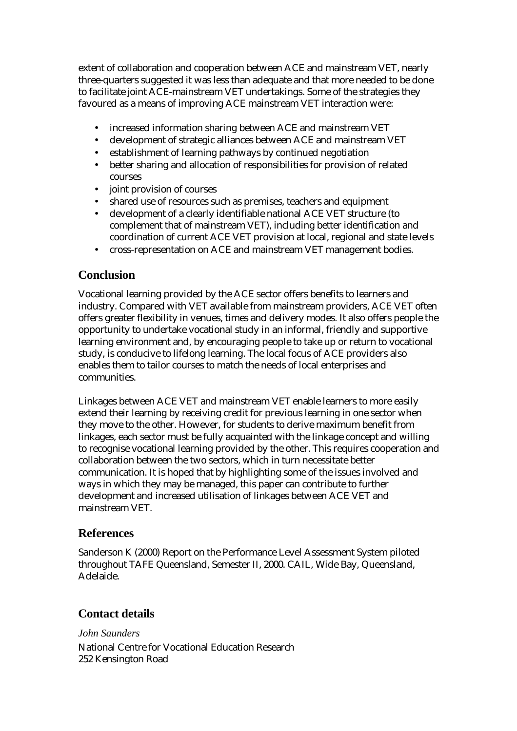extent of collaboration and cooperation between ACE and mainstream VET, nearly three-quarters suggested it was less than adequate and that more needed to be done to facilitate joint ACE-mainstream VET undertakings. Some of the strategies they favoured as a means of improving ACE mainstream VET interaction were:

- increased information sharing between ACE and mainstream VET
- development of strategic alliances between ACE and mainstream VET
- establishment of learning pathways by continued negotiation
- better sharing and allocation of responsibilities for provision of related courses
- joint provision of courses
- shared use of resources such as premises, teachers and equipment
- development of a clearly identifiable national ACE VET structure (to complement that of mainstream VET), including better identification and coordination of current ACE VET provision at local, regional and state levels
- cross-representation on ACE and mainstream VET management bodies.

# **Conclusion**

Vocational learning provided by the ACE sector offers benefits to learners and industry. Compared with VET available from mainstream providers, ACE VET often offers greater flexibility in venues, times and delivery modes. It also offers people the opportunity to undertake vocational study in an informal, friendly and supportive learning environment and, by encouraging people to take up or return to vocational study, is conducive to lifelong learning. The local focus of ACE providers also enables them to tailor courses to match the needs of local enterprises and communities.

Linkages between ACE VET and mainstream VET enable learners to more easily extend their learning by receiving credit for previous learning in one sector when they move to the other. However, for students to derive maximum benefit from linkages, each sector must be fully acquainted with the linkage concept and willing to recognise vocational learning provided by the other. This requires cooperation and collaboration between the two sectors, which in turn necessitate better communication. It is hoped that by highlighting some of the issues involved and ways in which they may be managed, this paper can contribute to further development and increased utilisation of linkages between ACE VET and mainstream VET.

# **References**

Sanderson K (2000) Report on the Performance Level Assessment System piloted throughout TAFE Queensland, Semester II, 2000. CAIL, Wide Bay, Queensland, Adelaide.

# **Contact details**

*John Saunders*  National Centre for Vocational Education Research 252 Kensington Road